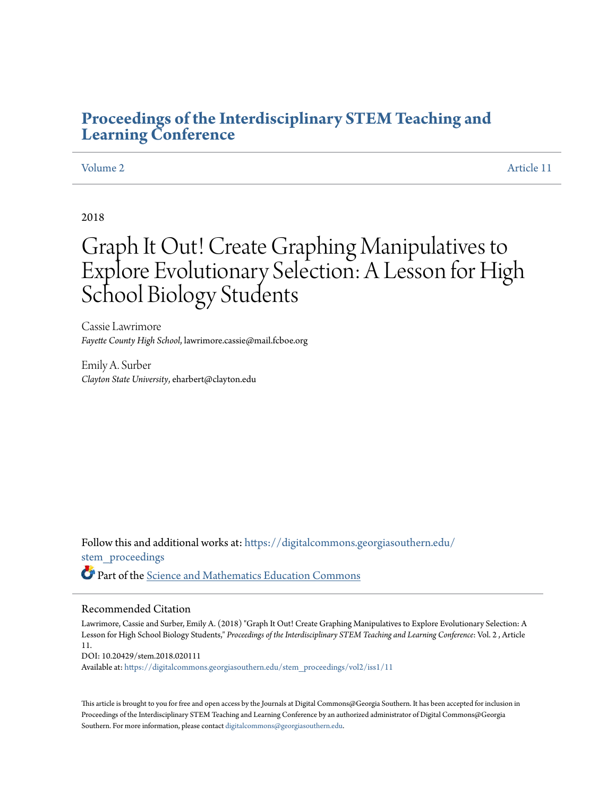# **[Proceedings of the Interdisciplinary STEM Teaching and](https://digitalcommons.georgiasouthern.edu/stem_proceedings?utm_source=digitalcommons.georgiasouthern.edu%2Fstem_proceedings%2Fvol2%2Fiss1%2F11&utm_medium=PDF&utm_campaign=PDFCoverPages) [Learning Conference](https://digitalcommons.georgiasouthern.edu/stem_proceedings?utm_source=digitalcommons.georgiasouthern.edu%2Fstem_proceedings%2Fvol2%2Fiss1%2F11&utm_medium=PDF&utm_campaign=PDFCoverPages)**

[Volume 2](https://digitalcommons.georgiasouthern.edu/stem_proceedings/vol2?utm_source=digitalcommons.georgiasouthern.edu%2Fstem_proceedings%2Fvol2%2Fiss1%2F11&utm_medium=PDF&utm_campaign=PDFCoverPages) [Article 11](https://digitalcommons.georgiasouthern.edu/stem_proceedings/vol2/iss1/11?utm_source=digitalcommons.georgiasouthern.edu%2Fstem_proceedings%2Fvol2%2Fiss1%2F11&utm_medium=PDF&utm_campaign=PDFCoverPages)

2018

# Graph It Out! Create Graphing Manipulatives to Explore Evolutionary Selection: A Lesson for High School Biology Students

Cassie Lawrimore *Fayette County High School*, lawrimore.cassie@mail.fcboe.org

Emily A. Surber *Clayton State University*, eharbert@clayton.edu

Follow this and additional works at: [https://digitalcommons.georgiasouthern.edu/](https://digitalcommons.georgiasouthern.edu/stem_proceedings?utm_source=digitalcommons.georgiasouthern.edu%2Fstem_proceedings%2Fvol2%2Fiss1%2F11&utm_medium=PDF&utm_campaign=PDFCoverPages) [stem\\_proceedings](https://digitalcommons.georgiasouthern.edu/stem_proceedings?utm_source=digitalcommons.georgiasouthern.edu%2Fstem_proceedings%2Fvol2%2Fiss1%2F11&utm_medium=PDF&utm_campaign=PDFCoverPages) Part of the [Science and Mathematics Education Commons](http://network.bepress.com/hgg/discipline/800?utm_source=digitalcommons.georgiasouthern.edu%2Fstem_proceedings%2Fvol2%2Fiss1%2F11&utm_medium=PDF&utm_campaign=PDFCoverPages)

#### Recommended Citation

Lawrimore, Cassie and Surber, Emily A. (2018) "Graph It Out! Create Graphing Manipulatives to Explore Evolutionary Selection: A Lesson for High School Biology Students," *Proceedings of the Interdisciplinary STEM Teaching and Learning Conference*: Vol. 2 , Article 11. DOI: 10.20429/stem.2018.020111

Available at: [https://digitalcommons.georgiasouthern.edu/stem\\_proceedings/vol2/iss1/11](https://digitalcommons.georgiasouthern.edu/stem_proceedings/vol2/iss1/11?utm_source=digitalcommons.georgiasouthern.edu%2Fstem_proceedings%2Fvol2%2Fiss1%2F11&utm_medium=PDF&utm_campaign=PDFCoverPages)

This article is brought to you for free and open access by the Journals at Digital Commons@Georgia Southern. It has been accepted for inclusion in Proceedings of the Interdisciplinary STEM Teaching and Learning Conference by an authorized administrator of Digital Commons@Georgia Southern. For more information, please contact [digitalcommons@georgiasouthern.edu.](mailto:digitalcommons@georgiasouthern.edu)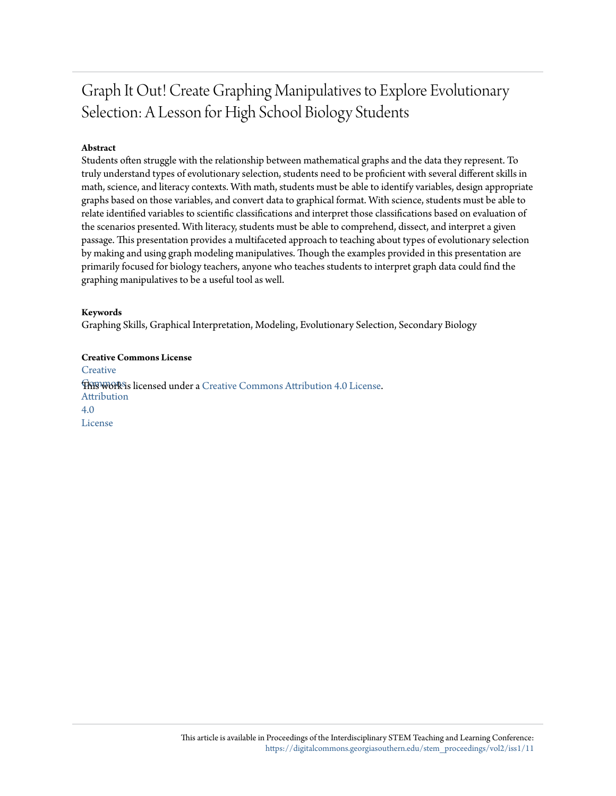# Graph It Out! Create Graphing Manipulatives to Explore Evolutionary Selection: A Lesson for High School Biology Students

### **Abstract**

Students often struggle with the relationship between mathematical graphs and the data they represent. To truly understand types of evolutionary selection, students need to be proficient with several different skills in math, science, and literacy contexts. With math, students must be able to identify variables, design appropriate graphs based on those variables, and convert data to graphical format. With science, students must be able to relate identified variables to scientific classifications and interpret those classifications based on evaluation of the scenarios presented. With literacy, students must be able to comprehend, dissect, and interpret a given passage. This presentation provides a multifaceted approach to teaching about types of evolutionary selection by making and using graph modeling manipulatives. Though the examples provided in this presentation are primarily focused for biology teachers, anyone who teaches students to interpret graph data could find the graphing manipulatives to be a useful tool as well.

### **Keywords**

Graphing Skills, Graphical Interpretation, Modeling, Evolutionary Selection, Secondary Biology

**Creative Commons License [Creative](http://creativecommons.org/licenses/by/4.0/) This work is licensed under a** [Creative Commons Attribution 4.0 License.](http://creativecommons.org/licenses/by/4.0/) Attribution 4.0 License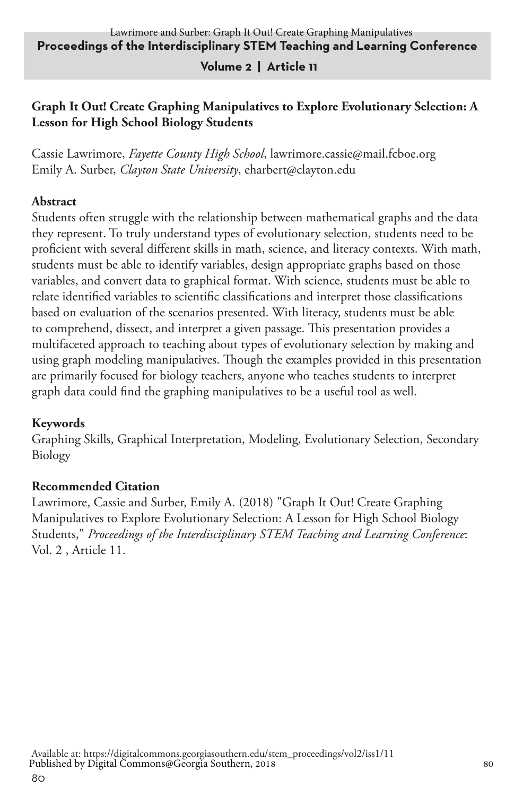#### **Volume 2 | Article 11**

### **Graph It Out! Create Graphing Manipulatives to Explore Evolutionary Selection: A Lesson for High School Biology Students**

Cassie Lawrimore, *Fayette County High School*, lawrimore.cassie@mail.fcboe.org Emily A. Surber, *Clayton State University*, eharbert@clayton.edu

#### **Abstract**

Students often struggle with the relationship between mathematical graphs and the data they represent. To truly understand types of evolutionary selection, students need to be proficient with several different skills in math, science, and literacy contexts. With math, students must be able to identify variables, design appropriate graphs based on those variables, and convert data to graphical format. With science, students must be able to relate identified variables to scientific classifications and interpret those classifications based on evaluation of the scenarios presented. With literacy, students must be able to comprehend, dissect, and interpret a given passage. This presentation provides a multifaceted approach to teaching about types of evolutionary selection by making and using graph modeling manipulatives. Though the examples provided in this presentation are primarily focused for biology teachers, anyone who teaches students to interpret graph data could find the graphing manipulatives to be a useful tool as well.

#### **Keywords**

Graphing Skills, Graphical Interpretation, Modeling, Evolutionary Selection, Secondary Biology

#### **Recommended Citation**

Lawrimore, Cassie and Surber, Emily A. (2018) "Graph It Out! Create Graphing Manipulatives to Explore Evolutionary Selection: A Lesson for High School Biology Students," *Proceedings of the Interdisciplinary STEM Teaching and Learning Conference*: Vol. 2 , Article 11.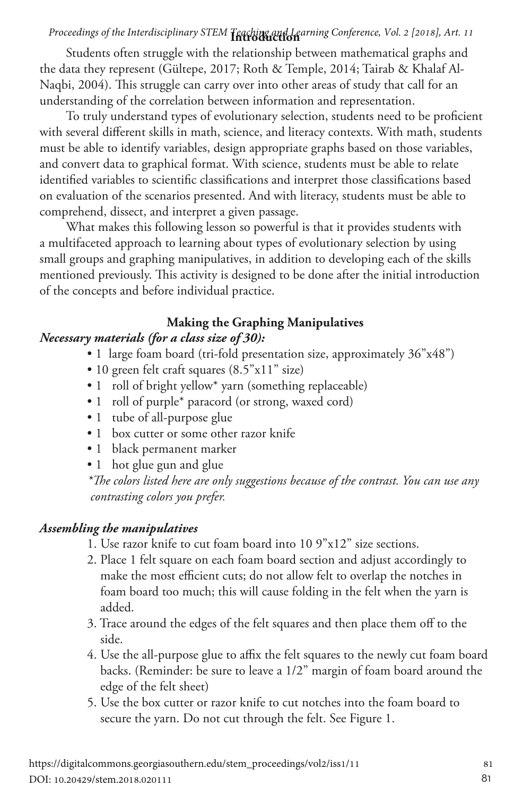## **Introduction** *Proceedings of the Interdisciplinary STEM Teaching and Learning Conference, Vol. 2 [2018], Art. 11*

Students often struggle with the relationship between mathematical graphs and the data they represent (Gültepe, 2017; Roth & Temple, 2014; Tairab & Khalaf Al-Naqbi, 2004). This struggle can carry over into other areas of study that call for an understanding of the correlation between information and representation.

To truly understand types of evolutionary selection, students need to be proficient with several different skills in math, science, and literacy contexts. With math, students must be able to identify variables, design appropriate graphs based on those variables, and convert data to graphical format. With science, students must be able to relate identified variables to scientific classifications and interpret those classifications based on evaluation of the scenarios presented. And with literacy, students must be able to comprehend, dissect, and interpret a given passage.

What makes this following lesson so powerful is that it provides students with a multifaceted approach to learning about types of evolutionary selection by using small groups and graphing manipulatives, in addition to developing each of the skills mentioned previously. This activity is designed to be done after the initial introduction of the concepts and before individual practice.

#### **Making the Graphing Manipulatives**

#### *Necessary materials (for a class size of 30):*

- 1 large foam board (tri-fold presentation size, approximately 36"x48")
- 10 green felt craft squares (8.5"x11" size)
- 1 roll of bright yellow\* yarn (something replaceable)
- 1 roll of purple\* paracord (or strong, waxed cord)
- 1 tube of all-purpose glue
- 1 box cutter or some other razor knife
- 1 black permanent marker
- 1 hot glue gun and glue

*\*The colors listed here are only suggestions because of the contrast. You can use any contrasting colors you prefer.*

### *Assembling the manipulatives*

- 1. Use razor knife to cut foam board into 10 9"x12" size sections.
- 2. Place 1 felt square on each foam board section and adjust accordingly to make the most efficient cuts; do not allow felt to overlap the notches in foam board too much; this will cause folding in the felt when the yarn is added.
- 3. Trace around the edges of the felt squares and then place them off to the side.
- 4. Use the all-purpose glue to affix the felt squares to the newly cut foam board backs. (Reminder: be sure to leave a 1/2" margin of foam board around the edge of the felt sheet)
- 5. Use the box cutter or razor knife to cut notches into the foam board to secure the yarn. Do not cut through the felt. See Figure 1.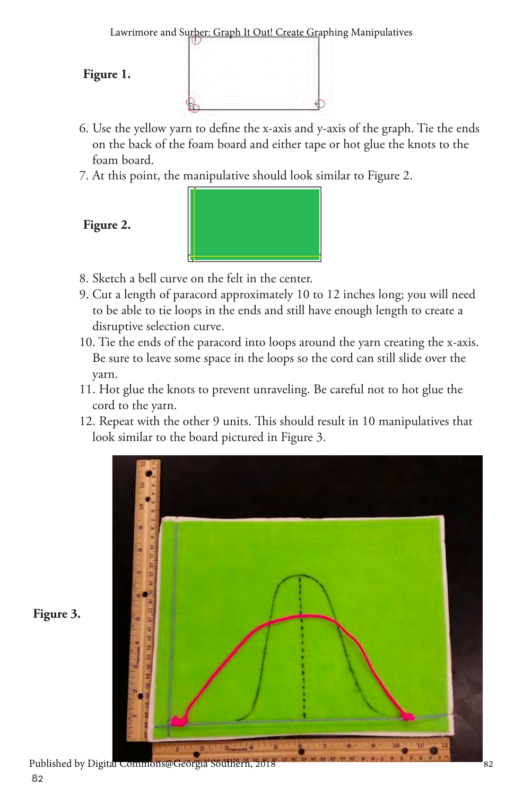Lawrimore and Surber: Graph It Out! Create Graphing Manipulatives

#### **Figure 1.**

- 6. Use the yellow yarn to define the x-axis and y-axis of the graph. Tie the ends on the back of the foam board and either tape or hot glue the knots to the foam board.
- 7. At this point, the manipulative should look similar to Figure 2.

**Figure 2.**



- 8. Sketch a bell curve on the felt in the center.
- 9. Cut a length of paracord approximately 10 to 12 inches long; you will need to be able to tie loops in the ends and still have enough length to create a disruptive selection curve.
- 10. Tie the ends of the paracord into loops around the yarn creating the x-axis. Be sure to leave some space in the loops so the cord can still slide over the yarn.
- 11. Hot glue the knots to prevent unraveling. Be careful not to hot glue the cord to the yarn.
- 12. Repeat with the other 9 units. This should result in 10 manipulatives that look similar to the board pictured in Figure 3.



**Figure 3.**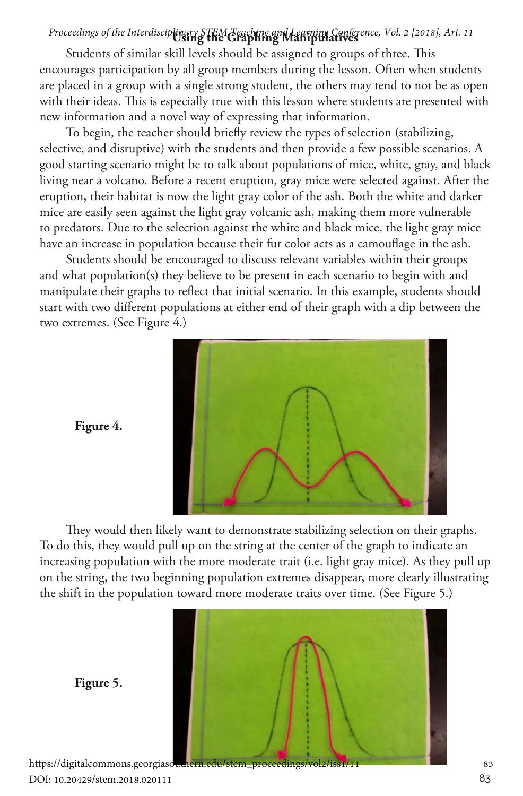## Proceedings of the Interdisciplinary STEM Teaching an**d Learning Con**ference, Vol. 2 [2018], Art. 11

Students of similar skill levels should be assigned to groups of three. This encourages participation by all group members during the lesson. Often when students are placed in a group with a single strong student, the others may tend to not be as open with their ideas. This is especially true with this lesson where students are presented with new information and a novel way of expressing that information.

To begin, the teacher should briefly review the types of selection (stabilizing, selective, and disruptive) with the students and then provide a few possible scenarios. A good starting scenario might be to talk about populations of mice, white, gray, and black living near a volcano. Before a recent eruption, gray mice were selected against. After the eruption, their habitat is now the light gray color of the ash. Both the white and darker mice are easily seen against the light gray volcanic ash, making them more vulnerable to predators. Due to the selection against the white and black mice, the light gray mice have an increase in population because their fur color acts as a camouflage in the ash.

Students should be encouraged to discuss relevant variables within their groups and what population(s) they believe to be present in each scenario to begin with and manipulate their graphs to reflect that initial scenario. In this example, students should start with two different populations at either end of their graph with a dip between the two extremes. (See Figure 4.)



**Figure 4.**

They would then likely want to demonstrate stabilizing selection on their graphs. To do this, they would pull up on the string at the center of the graph to indicate an increasing population with the more moderate trait (i.e. light gray mice). As they pull up on the string, the two beginning population extremes disappear, more clearly illustrating the shift in the population toward more moderate traits over time. (See Figure 5.)



DOI: 10.20429/stem.2018.020111

**Figure 5.**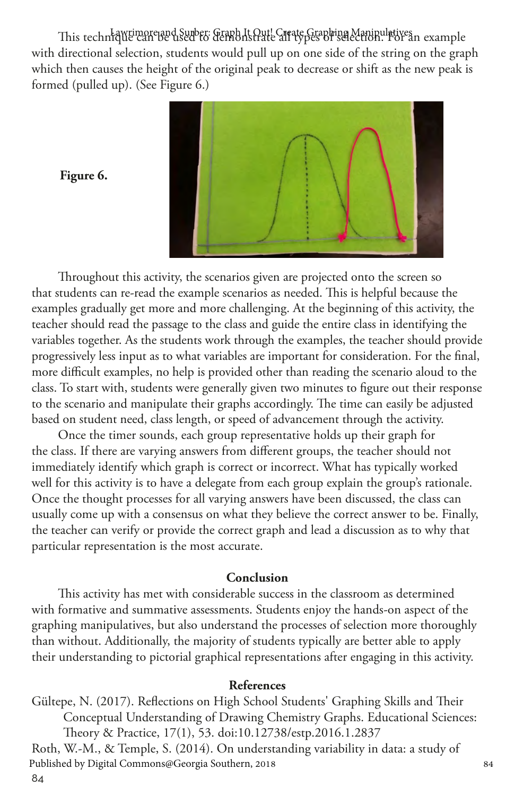This technique can be used to demonstrate Craphing Manipulatives nexample with directional selection, students would pull up on one side of the string on the graph which then causes the height of the original peak to decrease or shift as the new peak is formed (pulled up). (See Figure 6.)



**Figure 6.**

Throughout this activity, the scenarios given are projected onto the screen so that students can re-read the example scenarios as needed. This is helpful because the examples gradually get more and more challenging. At the beginning of this activity, the teacher should read the passage to the class and guide the entire class in identifying the variables together. As the students work through the examples, the teacher should provide progressively less input as to what variables are important for consideration. For the final, more difficult examples, no help is provided other than reading the scenario aloud to the class. To start with, students were generally given two minutes to figure out their response to the scenario and manipulate their graphs accordingly. The time can easily be adjusted based on student need, class length, or speed of advancement through the activity.

Once the timer sounds, each group representative holds up their graph for the class. If there are varying answers from different groups, the teacher should not immediately identify which graph is correct or incorrect. What has typically worked well for this activity is to have a delegate from each group explain the group's rationale. Once the thought processes for all varying answers have been discussed, the class can usually come up with a consensus on what they believe the correct answer to be. Finally, the teacher can verify or provide the correct graph and lead a discussion as to why that particular representation is the most accurate.

#### **Conclusion**

This activity has met with considerable success in the classroom as determined with formative and summative assessments. Students enjoy the hands-on aspect of the graphing manipulatives, but also understand the processes of selection more thoroughly than without. Additionally, the majority of students typically are better able to apply their understanding to pictorial graphical representations after engaging in this activity.

#### **References**

Gültepe, N. (2017). Reflections on High School Students' Graphing Skills and Their Conceptual Understanding of Drawing Chemistry Graphs. Educational Sciences: Theory & Practice, 17(1), 53. doi:10.12738/estp.2016.1.2837 Roth, W.-M., & Temple, S. (2014). On understanding variability in data: a study of Published by Digital Commons@Georgia Southern, 2018